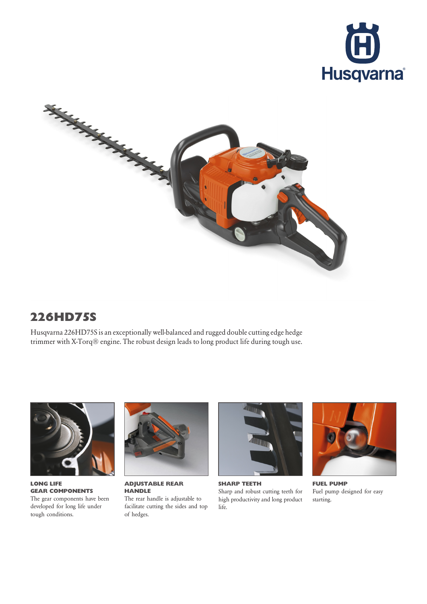



## 226HD75S

Husqvarna 226HD75S is an exceptionally well-balanced and rugged double cutting edge hedge trimmer with X-Torq® engine. The robust design leads to long product life during tough use.



LONG LIFE GEAR COMPONENTS The gear components have been developed for long life under tough conditions.



ADJUSTABLE REAR **HANDLE** The rear handle is adjustable to facilitate cutting the sides and top of hedges.



SHARP TEETH Sharp and robust cutting teeth for high productivity and long product life.



FUEL PUMP Fuel pump designed for easy starting.